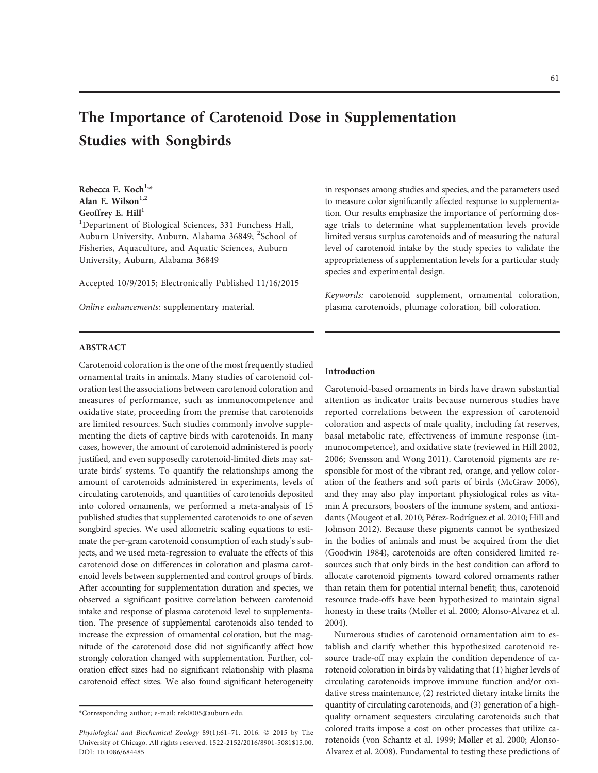# The Importance of Carotenoid Dose in Supplementation Studies with Songbirds

## Rebecca E. Koch<sup>1,\*</sup> Alan E. Wilson $1,2$ Geoffrey E.  $Hill<sup>1</sup>$

<sup>1</sup>Department of Biological Sciences, 331 Funchess Hall, Auburn University, Auburn, Alabama 36849; <sup>2</sup>School of Fisheries, Aquaculture, and Aquatic Sciences, Auburn University, Auburn, Alabama 36849

Accepted 10/9/2015; Electronically Published 11/16/2015

Online enhancements: supplementary material.

## ABSTRACT

Carotenoid coloration is the one of the most frequently studied ornamental traits in animals. Many studies of carotenoid coloration test the associations between carotenoid coloration and measures of performance, such as immunocompetence and oxidative state, proceeding from the premise that carotenoids are limited resources. Such studies commonly involve supplementing the diets of captive birds with carotenoids. In many cases, however, the amount of carotenoid administered is poorly justified, and even supposedly carotenoid-limited diets may saturate birds' systems. To quantify the relationships among the amount of carotenoids administered in experiments, levels of circulating carotenoids, and quantities of carotenoids deposited into colored ornaments, we performed a meta-analysis of 15 published studies that supplemented carotenoids to one of seven songbird species. We used allometric scaling equations to estimate the per-gram carotenoid consumption of each study's subjects, and we used meta-regression to evaluate the effects of this carotenoid dose on differences in coloration and plasma carotenoid levels between supplemented and control groups of birds. After accounting for supplementation duration and species, we observed a significant positive correlation between carotenoid intake and response of plasma carotenoid level to supplementation. The presence of supplemental carotenoids also tended to increase the expression of ornamental coloration, but the magnitude of the carotenoid dose did not significantly affect how strongly coloration changed with supplementation. Further, coloration effect sizes had no significant relationship with plasma carotenoid effect sizes. We also found significant heterogeneity

in responses among studies and species, and the parameters used to measure color significantly affected response to supplementation. Our results emphasize the importance of performing dosage trials to determine what supplementation levels provide limited versus surplus carotenoids and of measuring the natural level of carotenoid intake by the study species to validate the appropriateness of supplementation levels for a particular study species and experimental design.

Keywords: carotenoid supplement, ornamental coloration, plasma carotenoids, plumage coloration, bill coloration.

## Introduction

Carotenoid-based ornaments in birds have drawn substantial attention as indicator traits because numerous studies have reported correlations between the expression of carotenoid coloration and aspects of male quality, including fat reserves, basal metabolic rate, effectiveness of immune response (immunocompetence), and oxidative state (reviewed in Hill 2002, 2006; Svensson and Wong 2011). Carotenoid pigments are responsible for most of the vibrant red, orange, and yellow coloration of the feathers and soft parts of birds (McGraw 2006), and they may also play important physiological roles as vitamin A precursors, boosters of the immune system, and antioxidants (Mougeot et al. 2010; Pérez-Rodríguez et al. 2010; Hill and Johnson 2012). Because these pigments cannot be synthesized in the bodies of animals and must be acquired from the diet (Goodwin 1984), carotenoids are often considered limited resources such that only birds in the best condition can afford to allocate carotenoid pigments toward colored ornaments rather than retain them for potential internal benefit; thus, carotenoid resource trade-offs have been hypothesized to maintain signal honesty in these traits (Møller et al. 2000; Alonso-Alvarez et al. 2004).

Numerous studies of carotenoid ornamentation aim to establish and clarify whether this hypothesized carotenoid resource trade-off may explain the condition dependence of carotenoid coloration in birds by validating that (1) higher levels of circulating carotenoids improve immune function and/or oxidative stress maintenance, (2) restricted dietary intake limits the quantity of circulating carotenoids, and (3) generation of a highquality ornament sequesters circulating carotenoids such that colored traits impose a cost on other processes that utilize carotenoids (von Schantz et al. 1999; Møller et al. 2000; Alonso-Alvarez et al. 2008). Fundamental to testing these predictions of

<sup>\*</sup>Corresponding author; e-mail: rek0005@auburn.edu.

Physiological and Biochemical Zoology 89(1):61-71. 2016.  $©$  2015 by The University of Chicago. All rights reserved. 1522-2152/2016/8901-5081\$15.00. DOI: 10.1086/684485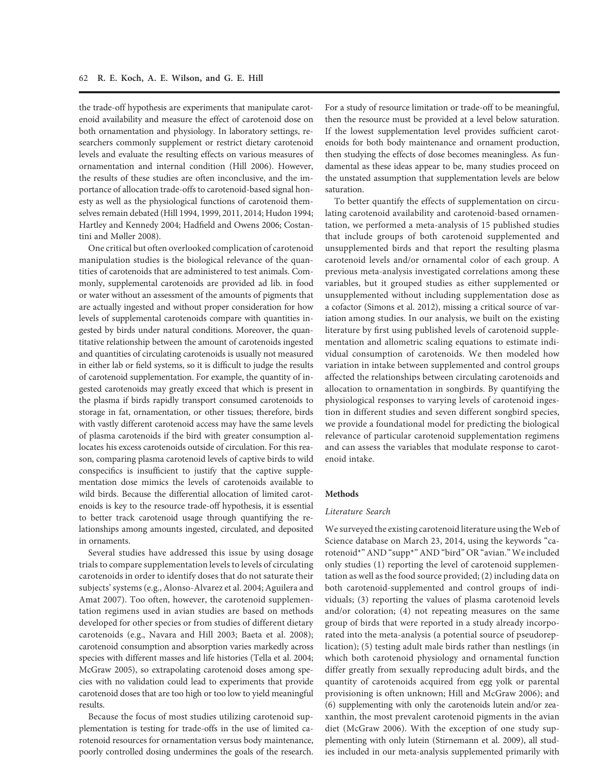the trade-off hypothesis are experiments that manipulate carotenoid availability and measure the effect of carotenoid dose on both ornamentation and physiology. In laboratory settings, researchers commonly supplement or restrict dietary carotenoid levels and evaluate the resulting effects on various measures of ornamentation and internal condition (Hill 2006). However, the results of these studies are often inconclusive, and the importance of allocation trade-offs to carotenoid-based signal honesty as well as the physiological functions of carotenoid themselves remain debated (Hill 1994, 1999, 2011, 2014; Hudon 1994; Hartley and Kennedy 2004; Hadfield and Owens 2006; Costantini and Møller 2008).

One critical but often overlooked complication of carotenoid manipulation studies is the biological relevance of the quantities of carotenoids that are administered to test animals. Commonly, supplemental carotenoids are provided ad lib. in food or water without an assessment of the amounts of pigments that are actually ingested and without proper consideration for how levels of supplemental carotenoids compare with quantities ingested by birds under natural conditions. Moreover, the quantitative relationship between the amount of carotenoids ingested and quantities of circulating carotenoids is usually not measured in either lab or field systems, so it is difficult to judge the results of carotenoid supplementation. For example, the quantity of ingested carotenoids may greatly exceed that which is present in the plasma if birds rapidly transport consumed carotenoids to storage in fat, ornamentation, or other tissues; therefore, birds with vastly different carotenoid access may have the same levels of plasma carotenoids if the bird with greater consumption allocates his excess carotenoids outside of circulation. For this reason, comparing plasma carotenoid levels of captive birds to wild conspecifics is insufficient to justify that the captive supplementation dose mimics the levels of carotenoids available to wild birds. Because the differential allocation of limited carotenoids is key to the resource trade-off hypothesis, it is essential to better track carotenoid usage through quantifying the relationships among amounts ingested, circulated, and deposited in ornaments.

Several studies have addressed this issue by using dosage trials to compare supplementation levels to levels of circulating carotenoids in order to identify doses that do not saturate their subjects'systems (e.g., Alonso-Alvarez et al. 2004; Aguilera and Amat 2007). Too often, however, the carotenoid supplementation regimens used in avian studies are based on methods developed for other species or from studies of different dietary carotenoids (e.g., Navara and Hill 2003; Baeta et al. 2008); carotenoid consumption and absorption varies markedly across species with different masses and life histories (Tella et al. 2004; McGraw 2005), so extrapolating carotenoid doses among species with no validation could lead to experiments that provide carotenoid doses that are too high or too low to yield meaningful results.

Because the focus of most studies utilizing carotenoid supplementation is testing for trade-offs in the use of limited carotenoid resources for ornamentation versus body maintenance, poorly controlled dosing undermines the goals of the research. For a study of resource limitation or trade-off to be meaningful, then the resource must be provided at a level below saturation. If the lowest supplementation level provides sufficient carotenoids for both body maintenance and ornament production, then studying the effects of dose becomes meaningless. As fundamental as these ideas appear to be, many studies proceed on the unstated assumption that supplementation levels are below saturation.

To better quantify the effects of supplementation on circulating carotenoid availability and carotenoid-based ornamentation, we performed a meta-analysis of 15 published studies that include groups of both carotenoid supplemented and unsupplemented birds and that report the resulting plasma carotenoid levels and/or ornamental color of each group. A previous meta-analysis investigated correlations among these variables, but it grouped studies as either supplemented or unsupplemented without including supplementation dose as a cofactor (Simons et al. 2012), missing a critical source of variation among studies. In our analysis, we built on the existing literature by first using published levels of carotenoid supplementation and allometric scaling equations to estimate individual consumption of carotenoids. We then modeled how variation in intake between supplemented and control groups affected the relationships between circulating carotenoids and allocation to ornamentation in songbirds. By quantifying the physiological responses to varying levels of carotenoid ingestion in different studies and seven different songbird species, we provide a foundational model for predicting the biological relevance of particular carotenoid supplementation regimens and can assess the variables that modulate response to carotenoid intake.

#### **Methods**

#### Literature Search

We surveyed the existing carotenoid literature using the Web of Science database on March 23, 2014, using the keywords "carotenoid\*" AND "supp\*" AND "bird" OR "avian." We included only studies (1) reporting the level of carotenoid supplementation as well as the food source provided; (2) including data on both carotenoid-supplemented and control groups of individuals; (3) reporting the values of plasma carotenoid levels and/or coloration; (4) not repeating measures on the same group of birds that were reported in a study already incorporated into the meta-analysis (a potential source of pseudoreplication); (5) testing adult male birds rather than nestlings (in which both carotenoid physiology and ornamental function differ greatly from sexually reproducing adult birds, and the quantity of carotenoids acquired from egg yolk or parental provisioning is often unknown; Hill and McGraw 2006); and (6) supplementing with only the carotenoids lutein and/or zeaxanthin, the most prevalent carotenoid pigments in the avian diet (McGraw 2006). With the exception of one study supplementing with only lutein (Stirnemann et al. 2009), all studies included in our meta-analysis supplemented primarily with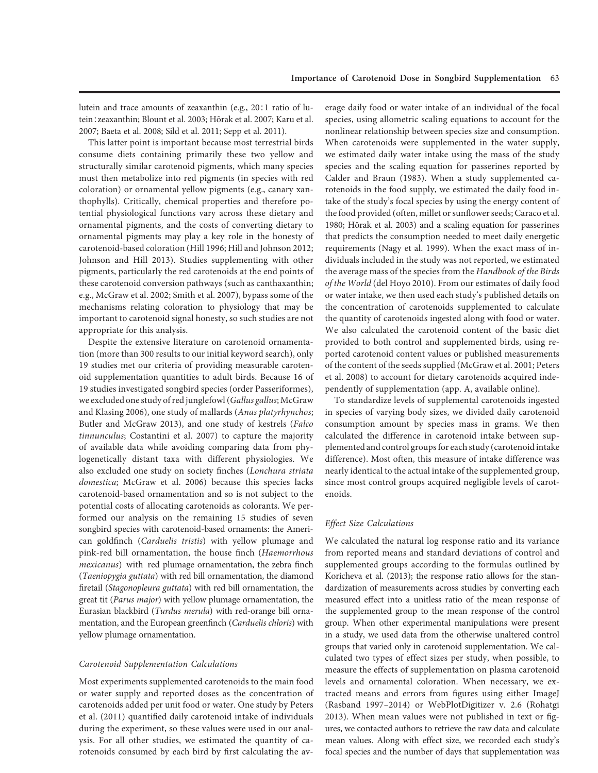lutein and trace amounts of zeaxanthin (e.g., 20∶1 ratio of lutein∶zeaxanthin; Blount et al. 2003; Hõrak et al. 2007; Karu et al. 2007; Baeta et al. 2008; Sild et al. 2011; Sepp et al. 2011).

This latter point is important because most terrestrial birds consume diets containing primarily these two yellow and structurally similar carotenoid pigments, which many species must then metabolize into red pigments (in species with red coloration) or ornamental yellow pigments (e.g., canary xanthophylls). Critically, chemical properties and therefore potential physiological functions vary across these dietary and ornamental pigments, and the costs of converting dietary to ornamental pigments may play a key role in the honesty of carotenoid-based coloration (Hill 1996; Hill and Johnson 2012; Johnson and Hill 2013). Studies supplementing with other pigments, particularly the red carotenoids at the end points of these carotenoid conversion pathways (such as canthaxanthin; e.g., McGraw et al. 2002; Smith et al. 2007), bypass some of the mechanisms relating coloration to physiology that may be important to carotenoid signal honesty, so such studies are not appropriate for this analysis.

Despite the extensive literature on carotenoid ornamentation (more than 300 results to our initial keyword search), only 19 studies met our criteria of providing measurable carotenoid supplementation quantities to adult birds. Because 16 of 19 studies investigated songbird species (order Passeriformes), we excluded one study of red junglefowl (Gallus gallus; McGraw and Klasing 2006), one study of mallards (Anas platyrhynchos; Butler and McGraw 2013), and one study of kestrels (Falco tinnunculus; Costantini et al. 2007) to capture the majority of available data while avoiding comparing data from phylogenetically distant taxa with different physiologies. We also excluded one study on society finches (Lonchura striata domestica; McGraw et al. 2006) because this species lacks carotenoid-based ornamentation and so is not subject to the potential costs of allocating carotenoids as colorants. We performed our analysis on the remaining 15 studies of seven songbird species with carotenoid-based ornaments: the American goldfinch (Carduelis tristis) with yellow plumage and pink-red bill ornamentation, the house finch (Haemorrhous mexicanus) with red plumage ornamentation, the zebra finch (Taeniopygia guttata) with red bill ornamentation, the diamond firetail (Stagonopleura guttata) with red bill ornamentation, the great tit (Parus major) with yellow plumage ornamentation, the Eurasian blackbird (Turdus merula) with red-orange bill ornamentation, and the European greenfinch (Carduelis chloris) with yellow plumage ornamentation.

#### Carotenoid Supplementation Calculations

Most experiments supplemented carotenoids to the main food or water supply and reported doses as the concentration of carotenoids added per unit food or water. One study by Peters et al. (2011) quantified daily carotenoid intake of individuals during the experiment, so these values were used in our analysis. For all other studies, we estimated the quantity of carotenoids consumed by each bird by first calculating the average daily food or water intake of an individual of the focal species, using allometric scaling equations to account for the nonlinear relationship between species size and consumption. When carotenoids were supplemented in the water supply, we estimated daily water intake using the mass of the study species and the scaling equation for passerines reported by Calder and Braun (1983). When a study supplemented carotenoids in the food supply, we estimated the daily food intake of the study's focal species by using the energy content of the food provided (often, millet or sunflower seeds; Caraco et al. 1980; Hõrak et al. 2003) and a scaling equation for passerines that predicts the consumption needed to meet daily energetic requirements (Nagy et al. 1999). When the exact mass of individuals included in the study was not reported, we estimated the average mass of the species from the Handbook of the Birds of the World (del Hoyo 2010). From our estimates of daily food or water intake, we then used each study's published details on the concentration of carotenoids supplemented to calculate the quantity of carotenoids ingested along with food or water. We also calculated the carotenoid content of the basic diet provided to both control and supplemented birds, using reported carotenoid content values or published measurements of the content of the seeds supplied (McGraw et al. 2001; Peters et al. 2008) to account for dietary carotenoids acquired independently of supplementation (app. A, available online).

To standardize levels of supplemental carotenoids ingested in species of varying body sizes, we divided daily carotenoid consumption amount by species mass in grams. We then calculated the difference in carotenoid intake between supplemented and control groups for each study (carotenoid intake difference). Most often, this measure of intake difference was nearly identical to the actual intake of the supplemented group, since most control groups acquired negligible levels of carotenoids.

#### Effect Size Calculations

We calculated the natural log response ratio and its variance from reported means and standard deviations of control and supplemented groups according to the formulas outlined by Koricheva et al. (2013); the response ratio allows for the standardization of measurements across studies by converting each measured effect into a unitless ratio of the mean response of the supplemented group to the mean response of the control group. When other experimental manipulations were present in a study, we used data from the otherwise unaltered control groups that varied only in carotenoid supplementation. We calculated two types of effect sizes per study, when possible, to measure the effects of supplementation on plasma carotenoid levels and ornamental coloration. When necessary, we extracted means and errors from figures using either ImageJ (Rasband 1997–2014) or WebPlotDigitizer v. 2.6 (Rohatgi 2013). When mean values were not published in text or figures, we contacted authors to retrieve the raw data and calculate mean values. Along with effect size, we recorded each study's focal species and the number of days that supplementation was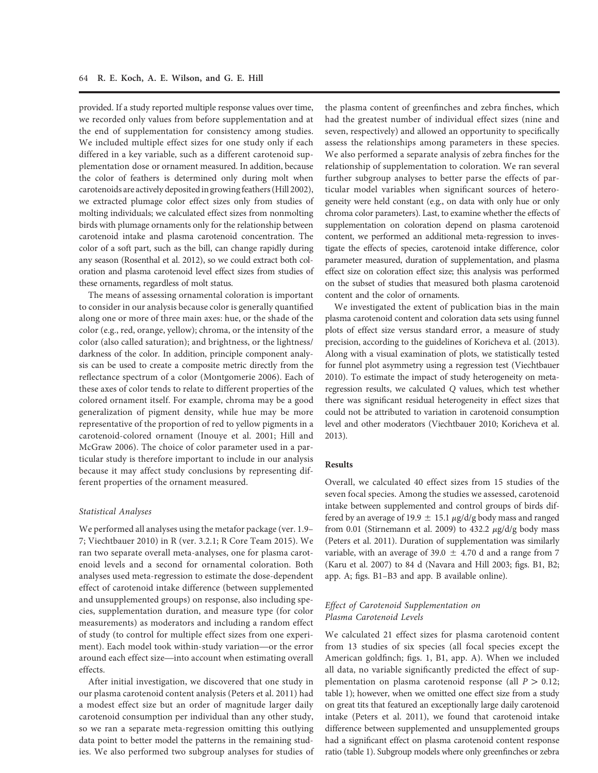provided. If a study reported multiple response values over time, we recorded only values from before supplementation and at the end of supplementation for consistency among studies. We included multiple effect sizes for one study only if each differed in a key variable, such as a different carotenoid supplementation dose or ornament measured. In addition, because the color of feathers is determined only during molt when carotenoids are actively deposited in growing feathers (Hill 2002), we extracted plumage color effect sizes only from studies of molting individuals; we calculated effect sizes from nonmolting birds with plumage ornaments only for the relationship between carotenoid intake and plasma carotenoid concentration. The color of a soft part, such as the bill, can change rapidly during any season (Rosenthal et al. 2012), so we could extract both coloration and plasma carotenoid level effect sizes from studies of these ornaments, regardless of molt status.

The means of assessing ornamental coloration is important to consider in our analysis because color is generally quantified along one or more of three main axes: hue, or the shade of the color (e.g., red, orange, yellow); chroma, or the intensity of the color (also called saturation); and brightness, or the lightness/ darkness of the color. In addition, principle component analysis can be used to create a composite metric directly from the reflectance spectrum of a color (Montgomerie 2006). Each of these axes of color tends to relate to different properties of the colored ornament itself. For example, chroma may be a good generalization of pigment density, while hue may be more representative of the proportion of red to yellow pigments in a carotenoid-colored ornament (Inouye et al. 2001; Hill and McGraw 2006). The choice of color parameter used in a particular study is therefore important to include in our analysis because it may affect study conclusions by representing different properties of the ornament measured.

#### Statistical Analyses

We performed all analyses using the metafor package (ver. 1.9– 7; Viechtbauer 2010) in R (ver. 3.2.1; R Core Team 2015). We ran two separate overall meta-analyses, one for plasma carotenoid levels and a second for ornamental coloration. Both analyses used meta-regression to estimate the dose-dependent effect of carotenoid intake difference (between supplemented and unsupplemented groups) on response, also including species, supplementation duration, and measure type (for color measurements) as moderators and including a random effect of study (to control for multiple effect sizes from one experiment). Each model took within-study variation—or the error around each effect size—into account when estimating overall effects.

After initial investigation, we discovered that one study in our plasma carotenoid content analysis (Peters et al. 2011) had a modest effect size but an order of magnitude larger daily carotenoid consumption per individual than any other study, so we ran a separate meta-regression omitting this outlying data point to better model the patterns in the remaining studies. We also performed two subgroup analyses for studies of the plasma content of greenfinches and zebra finches, which had the greatest number of individual effect sizes (nine and seven, respectively) and allowed an opportunity to specifically assess the relationships among parameters in these species. We also performed a separate analysis of zebra finches for the relationship of supplementation to coloration. We ran several further subgroup analyses to better parse the effects of particular model variables when significant sources of heterogeneity were held constant (e.g., on data with only hue or only chroma color parameters). Last, to examine whether the effects of supplementation on coloration depend on plasma carotenoid content, we performed an additional meta-regression to investigate the effects of species, carotenoid intake difference, color parameter measured, duration of supplementation, and plasma effect size on coloration effect size; this analysis was performed on the subset of studies that measured both plasma carotenoid content and the color of ornaments.

We investigated the extent of publication bias in the main plasma carotenoid content and coloration data sets using funnel plots of effect size versus standard error, a measure of study precision, according to the guidelines of Koricheva et al. (2013). Along with a visual examination of plots, we statistically tested for funnel plot asymmetry using a regression test (Viechtbauer 2010). To estimate the impact of study heterogeneity on metaregression results, we calculated Q values, which test whether there was significant residual heterogeneity in effect sizes that could not be attributed to variation in carotenoid consumption level and other moderators (Viechtbauer 2010; Koricheva et al. 2013).

## Results

Overall, we calculated 40 effect sizes from 15 studies of the seven focal species. Among the studies we assessed, carotenoid intake between supplemented and control groups of birds differed by an average of 19.9  $\pm$  15.1  $\mu$ g/d/g body mass and ranged from 0.01 (Stirnemann et al. 2009) to 432.2  $\mu$ g/d/g body mass (Peters et al. 2011). Duration of supplementation was similarly variable, with an average of 39.0  $\pm$  4.70 d and a range from 7 (Karu et al. 2007) to 84 d (Navara and Hill 2003; figs. B1, B2; app. A; figs. B1–B3 and app. B available online).

## Effect of Carotenoid Supplementation on Plasma Carotenoid Levels

We calculated 21 effect sizes for plasma carotenoid content from 13 studies of six species (all focal species except the American goldfinch; figs. 1, B1, app. A). When we included all data, no variable significantly predicted the effect of supplementation on plasma carotenoid response (all  $P > 0.12$ ; table 1); however, when we omitted one effect size from a study on great tits that featured an exceptionally large daily carotenoid intake (Peters et al. 2011), we found that carotenoid intake difference between supplemented and unsupplemented groups had a significant effect on plasma carotenoid content response ratio (table 1). Subgroup models where only greenfinches or zebra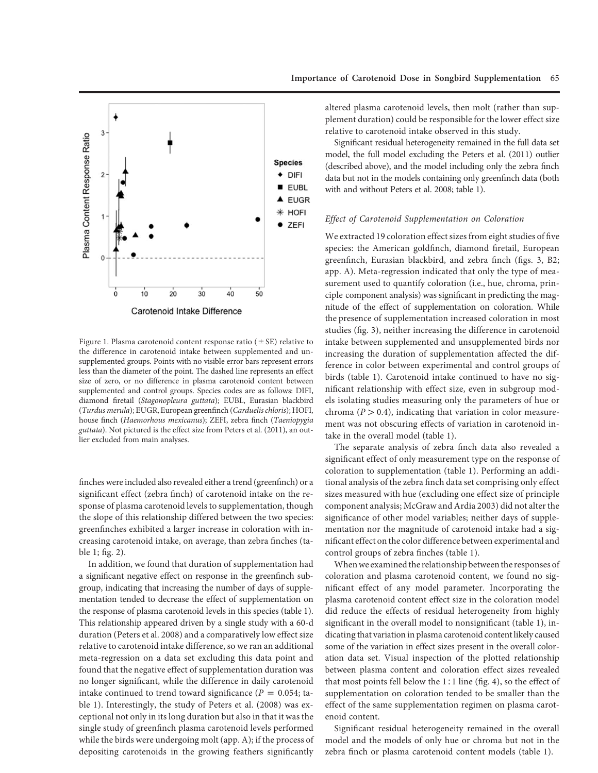

Figure 1. Plasma carotenoid content response ratio ( $\pm$  SE) relative to the difference in carotenoid intake between supplemented and unsupplemented groups. Points with no visible error bars represent errors less than the diameter of the point. The dashed line represents an effect size of zero, or no difference in plasma carotenoid content between supplemented and control groups. Species codes are as follows: DIFI, diamond firetail (Stagonopleura guttata); EUBL, Eurasian blackbird (Turdus merula); EUGR, European greenfinch (Carduelis chloris); HOFI, house finch (Haemorhous mexicanus); ZEFI, zebra finch (Taeniopygia guttata). Not pictured is the effect size from Peters et al. (2011), an outlier excluded from main analyses.

finches were included also revealed either a trend (greenfinch) or a significant effect (zebra finch) of carotenoid intake on the response of plasma carotenoid levels to supplementation, though the slope of this relationship differed between the two species: greenfinches exhibited a larger increase in coloration with increasing carotenoid intake, on average, than zebra finches (table 1; fig. 2).

In addition, we found that duration of supplementation had a significant negative effect on response in the greenfinch subgroup, indicating that increasing the number of days of supplementation tended to decrease the effect of supplementation on the response of plasma carotenoid levels in this species (table 1). This relationship appeared driven by a single study with a 60-d duration (Peters et al. 2008) and a comparatively low effect size relative to carotenoid intake difference, so we ran an additional meta-regression on a data set excluding this data point and found that the negative effect of supplementation duration was no longer significant, while the difference in daily carotenoid intake continued to trend toward significance ( $P = 0.054$ ; table 1). Interestingly, the study of Peters et al. (2008) was exceptional not only in its long duration but also in that it was the single study of greenfinch plasma carotenoid levels performed while the birds were undergoing molt (app. A); if the process of depositing carotenoids in the growing feathers significantly altered plasma carotenoid levels, then molt (rather than supplement duration) could be responsible for the lower effect size relative to carotenoid intake observed in this study.

Significant residual heterogeneity remained in the full data set model, the full model excluding the Peters et al. (2011) outlier (described above), and the model including only the zebra finch data but not in the models containing only greenfinch data (both with and without Peters et al. 2008; table 1).

#### Effect of Carotenoid Supplementation on Coloration

We extracted 19 coloration effect sizes from eight studies of five species: the American goldfinch, diamond firetail, European greenfinch, Eurasian blackbird, and zebra finch (figs. 3, B2; app. A). Meta-regression indicated that only the type of measurement used to quantify coloration (i.e., hue, chroma, principle component analysis) was significant in predicting the magnitude of the effect of supplementation on coloration. While the presence of supplementation increased coloration in most studies (fig. 3), neither increasing the difference in carotenoid intake between supplemented and unsupplemented birds nor increasing the duration of supplementation affected the difference in color between experimental and control groups of birds (table 1). Carotenoid intake continued to have no significant relationship with effect size, even in subgroup models isolating studies measuring only the parameters of hue or chroma ( $P > 0.4$ ), indicating that variation in color measurement was not obscuring effects of variation in carotenoid intake in the overall model (table 1).

The separate analysis of zebra finch data also revealed a significant effect of only measurement type on the response of coloration to supplementation (table 1). Performing an additional analysis of the zebra finch data set comprising only effect sizes measured with hue (excluding one effect size of principle component analysis; McGraw and Ardia 2003) did not alter the significance of other model variables; neither days of supplementation nor the magnitude of carotenoid intake had a significant effect on the color difference between experimental and control groups of zebra finches (table 1).

When we examined the relationship between the responses of coloration and plasma carotenoid content, we found no significant effect of any model parameter. Incorporating the plasma carotenoid content effect size in the coloration model did reduce the effects of residual heterogeneity from highly significant in the overall model to nonsignificant (table 1), indicating that variation in plasma carotenoid content likely caused some of the variation in effect sizes present in the overall coloration data set. Visual inspection of the plotted relationship between plasma content and coloration effect sizes revealed that most points fell below the 1∶1 line (fig. 4), so the effect of supplementation on coloration tended to be smaller than the effect of the same supplementation regimen on plasma carotenoid content.

Significant residual heterogeneity remained in the overall model and the models of only hue or chroma but not in the zebra finch or plasma carotenoid content models (table 1).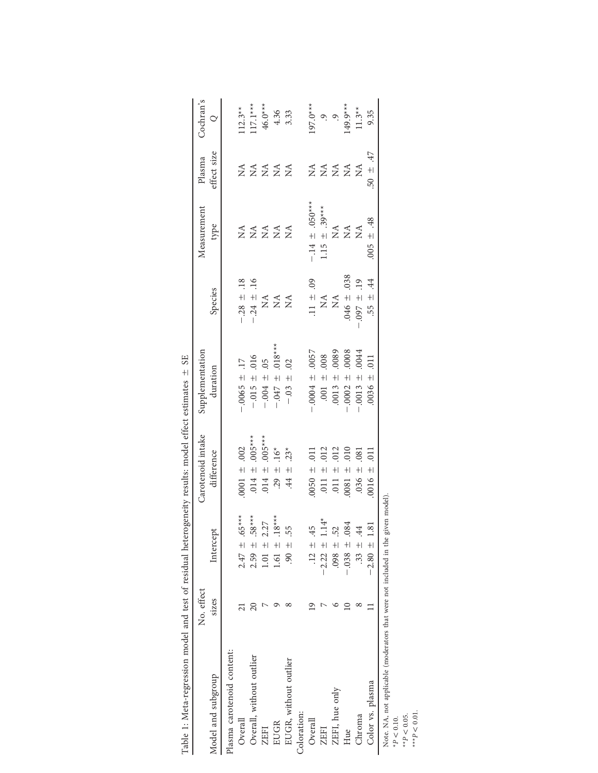| $46.0***$<br>4.36<br>4.36<br>effect size<br>50 $\pm .47$<br>$\begin{array}{c}\n  \blacktriangleleft\; \mathbb{1} \; \mathbb{1} \; \mathbb{1} \; \mathbb{1} \; \mathbb{1} \; \mathbb{1} \; \mathbb{1} \; \mathbb{1} \; \mathbb{1} \; \mathbb{1} \; \mathbb{1} \; \mathbb{1} \; \mathbb{1} \; \mathbb{1} \; \mathbb{1} \; \mathbb{1} \; \mathbb{1} \; \mathbb{1} \; \mathbb{1} \; \mathbb{1} \; \mathbb{1} \; \mathbb{1} \; \mathbb{1} \; \mathbb{1} \; \mathbb{1} \; \mathbb{1$<br>$\begin{array}{c}\n  \leq \leq \leq \leq \\ \geq \geq \geq \geq\n \end{array}$<br>$-14 \pm .050***$<br>1.15 $\pm$ .39***<br>$.005 \pm .48$<br>type<br>$Z \nleq Z$<br>$.046 \pm .038$<br>$.11 \pm .09$<br>$-.28 \pm .18$<br>.19<br>$\ddot{4}$<br>$-0.24 \pm .16$<br>Species<br>$-0.097 +$<br>$-55 +$<br>$\rm{N}\Delta$<br>$Z \nleq Z$<br>$\tilde{M}$<br>$-0.047 \pm 0.018$ ***<br>0089<br>.0008<br>$-0.004 \pm 0.0057$<br>.0044<br>.008<br>$-0.015 \pm 0.016$<br>.011<br>0 <sub>5</sub><br>$-0.065 \pm .17$<br>$\overline{0}$<br>duration<br>$0036 \pm$<br>$\ddot{+}$<br>$-.004 +$<br>$.0002 +$<br>$+1$<br>$.0013 \pm$<br>$+1$<br>$-.03$<br>.0013<br>.001<br>$.014 \pm .005***$<br>$.014 \pm .005***$<br>$0001 \pm .002$<br>010<br>.012<br>.012<br>$\pm$ .23*<br>$.29 \pm .16*$<br>$0050 \pm .011$<br>.081<br>$0016 \pm .011$<br>difference<br>$+1$<br>$-1800$<br>$-1036 +$<br>$+1$<br>44<br>.011<br>$.011$<br>$2.47 \pm .65***$<br>$\stackrel{\star}{\star}$<br>$*$<br>$*$<br>₹<br>$\triangleright$<br>↤<br>$2.59 \pm .58$<br>$1.01 \pm 2.2$<br>$-2.80 \pm 1.8$<br>Intercept<br>$-0.38 \pm 0.08$<br>$1.61 \pm .18$<br>$.12 \pm .45$<br>$.33 + 44$<br>55.<br>$-2.22 \pm$<br>$\pm$ 860.<br>$+$<br>$-$<br>sizes<br>20<br>Plasma carotenoid content:<br>Overall, without outlier<br>EUGR, without outlier<br>Model and subgroup<br>Color vs. plasma<br>ZEFI, hue only<br>Coloration:<br>Chroma<br>Overall<br>Overall<br>EUGR<br><b>ZEFI</b><br><b>ZEFI</b><br>Hue | No. effect | Carotenoid intake | Supplementation | Measurement | Plasma | Cochran's  |
|-------------------------------------------------------------------------------------------------------------------------------------------------------------------------------------------------------------------------------------------------------------------------------------------------------------------------------------------------------------------------------------------------------------------------------------------------------------------------------------------------------------------------------------------------------------------------------------------------------------------------------------------------------------------------------------------------------------------------------------------------------------------------------------------------------------------------------------------------------------------------------------------------------------------------------------------------------------------------------------------------------------------------------------------------------------------------------------------------------------------------------------------------------------------------------------------------------------------------------------------------------------------------------------------------------------------------------------------------------------------------------------------------------------------------------------------------------------------------------------------------------------------------------------------------------------------------------------------------------------------------------------------------------------------------------------------------------------------------------------------------------------------------------------------------------------------------------------------------------------------------------------------------------------------------------------------------|------------|-------------------|-----------------|-------------|--------|------------|
|                                                                                                                                                                                                                                                                                                                                                                                                                                                                                                                                                                                                                                                                                                                                                                                                                                                                                                                                                                                                                                                                                                                                                                                                                                                                                                                                                                                                                                                                                                                                                                                                                                                                                                                                                                                                                                                                                                                                                 |            |                   |                 |             |        | $\circ$    |
|                                                                                                                                                                                                                                                                                                                                                                                                                                                                                                                                                                                                                                                                                                                                                                                                                                                                                                                                                                                                                                                                                                                                                                                                                                                                                                                                                                                                                                                                                                                                                                                                                                                                                                                                                                                                                                                                                                                                                 |            |                   |                 |             |        |            |
|                                                                                                                                                                                                                                                                                                                                                                                                                                                                                                                                                                                                                                                                                                                                                                                                                                                                                                                                                                                                                                                                                                                                                                                                                                                                                                                                                                                                                                                                                                                                                                                                                                                                                                                                                                                                                                                                                                                                                 |            |                   |                 |             |        | $12.3**$   |
|                                                                                                                                                                                                                                                                                                                                                                                                                                                                                                                                                                                                                                                                                                                                                                                                                                                                                                                                                                                                                                                                                                                                                                                                                                                                                                                                                                                                                                                                                                                                                                                                                                                                                                                                                                                                                                                                                                                                                 |            |                   |                 |             |        | $117.1***$ |
|                                                                                                                                                                                                                                                                                                                                                                                                                                                                                                                                                                                                                                                                                                                                                                                                                                                                                                                                                                                                                                                                                                                                                                                                                                                                                                                                                                                                                                                                                                                                                                                                                                                                                                                                                                                                                                                                                                                                                 |            |                   |                 |             |        |            |
|                                                                                                                                                                                                                                                                                                                                                                                                                                                                                                                                                                                                                                                                                                                                                                                                                                                                                                                                                                                                                                                                                                                                                                                                                                                                                                                                                                                                                                                                                                                                                                                                                                                                                                                                                                                                                                                                                                                                                 |            |                   |                 |             |        |            |
|                                                                                                                                                                                                                                                                                                                                                                                                                                                                                                                                                                                                                                                                                                                                                                                                                                                                                                                                                                                                                                                                                                                                                                                                                                                                                                                                                                                                                                                                                                                                                                                                                                                                                                                                                                                                                                                                                                                                                 |            |                   |                 |             |        |            |
|                                                                                                                                                                                                                                                                                                                                                                                                                                                                                                                                                                                                                                                                                                                                                                                                                                                                                                                                                                                                                                                                                                                                                                                                                                                                                                                                                                                                                                                                                                                                                                                                                                                                                                                                                                                                                                                                                                                                                 |            |                   |                 |             |        |            |
|                                                                                                                                                                                                                                                                                                                                                                                                                                                                                                                                                                                                                                                                                                                                                                                                                                                                                                                                                                                                                                                                                                                                                                                                                                                                                                                                                                                                                                                                                                                                                                                                                                                                                                                                                                                                                                                                                                                                                 |            |                   |                 |             |        | $197.0***$ |
|                                                                                                                                                                                                                                                                                                                                                                                                                                                                                                                                                                                                                                                                                                                                                                                                                                                                                                                                                                                                                                                                                                                                                                                                                                                                                                                                                                                                                                                                                                                                                                                                                                                                                                                                                                                                                                                                                                                                                 |            |                   |                 |             |        | c)         |
|                                                                                                                                                                                                                                                                                                                                                                                                                                                                                                                                                                                                                                                                                                                                                                                                                                                                                                                                                                                                                                                                                                                                                                                                                                                                                                                                                                                                                                                                                                                                                                                                                                                                                                                                                                                                                                                                                                                                                 |            |                   |                 |             |        | o.         |
|                                                                                                                                                                                                                                                                                                                                                                                                                                                                                                                                                                                                                                                                                                                                                                                                                                                                                                                                                                                                                                                                                                                                                                                                                                                                                                                                                                                                                                                                                                                                                                                                                                                                                                                                                                                                                                                                                                                                                 |            |                   |                 |             |        | 149.9**    |
|                                                                                                                                                                                                                                                                                                                                                                                                                                                                                                                                                                                                                                                                                                                                                                                                                                                                                                                                                                                                                                                                                                                                                                                                                                                                                                                                                                                                                                                                                                                                                                                                                                                                                                                                                                                                                                                                                                                                                 |            |                   |                 |             |        | $11.3**$   |
|                                                                                                                                                                                                                                                                                                                                                                                                                                                                                                                                                                                                                                                                                                                                                                                                                                                                                                                                                                                                                                                                                                                                                                                                                                                                                                                                                                                                                                                                                                                                                                                                                                                                                                                                                                                                                                                                                                                                                 |            |                   |                 |             |        | 9.35       |

 $\begin{array}{l} * p < 0.10.\\ * p < 0.05,\\ * * p < 0.01. \end{array}$ \*\* $P < 0.05$ .

 $*P < 0.10$ .

 $*^*P < 0.01$ .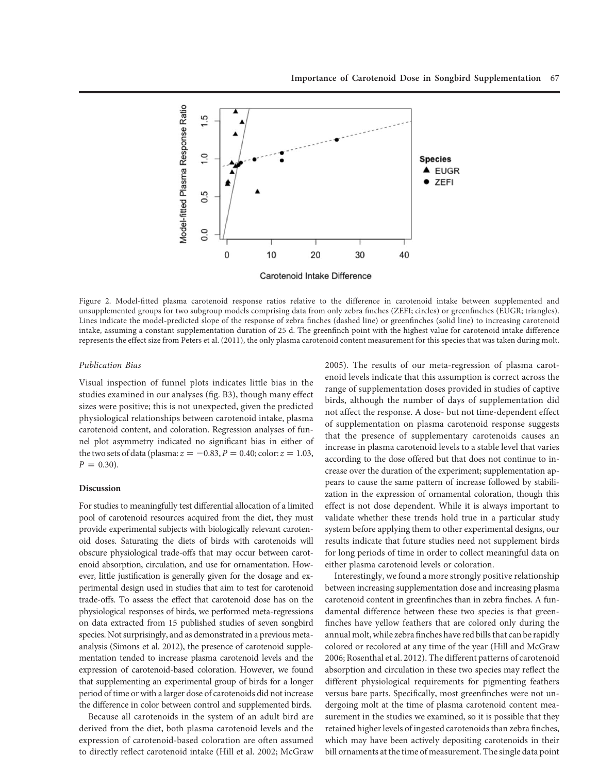

Figure 2. Model-fitted plasma carotenoid response ratios relative to the difference in carotenoid intake between supplemented and unsupplemented groups for two subgroup models comprising data from only zebra finches (ZEFI; circles) or greenfinches (EUGR; triangles). Lines indicate the model-predicted slope of the response of zebra finches (dashed line) or greenfinches (solid line) to increasing carotenoid intake, assuming a constant supplementation duration of 25 d. The greenfinch point with the highest value for carotenoid intake difference represents the effect size from Peters et al. (2011), the only plasma carotenoid content measurement for this species that was taken during molt.

#### Publication Bias

Visual inspection of funnel plots indicates little bias in the studies examined in our analyses (fig. B3), though many effect sizes were positive; this is not unexpected, given the predicted physiological relationships between carotenoid intake, plasma carotenoid content, and coloration. Regression analyses of funnel plot asymmetry indicated no significant bias in either of the two sets of data (plasma:  $z=-0.83$ ,  $P=0.40$ ; color:  $z=1.03$ ,  $P = 0.30$ ).

### Discussion

For studies to meaningfully test differential allocation of a limited pool of carotenoid resources acquired from the diet, they must provide experimental subjects with biologically relevant carotenoid doses. Saturating the diets of birds with carotenoids will obscure physiological trade-offs that may occur between carotenoid absorption, circulation, and use for ornamentation. However, little justification is generally given for the dosage and experimental design used in studies that aim to test for carotenoid trade-offs. To assess the effect that carotenoid dose has on the physiological responses of birds, we performed meta-regressions on data extracted from 15 published studies of seven songbird species. Not surprisingly, and as demonstrated in a previous metaanalysis (Simons et al. 2012), the presence of carotenoid supplementation tended to increase plasma carotenoid levels and the expression of carotenoid-based coloration. However, we found that supplementing an experimental group of birds for a longer period of time or with a larger dose of carotenoids did not increase the difference in color between control and supplemented birds.

Because all carotenoids in the system of an adult bird are derived from the diet, both plasma carotenoid levels and the expression of carotenoid-based coloration are often assumed to directly reflect carotenoid intake (Hill et al. 2002; McGraw 2005). The results of our meta-regression of plasma carotenoid levels indicate that this assumption is correct across the range of supplementation doses provided in studies of captive birds, although the number of days of supplementation did not affect the response. A dose- but not time-dependent effect of supplementation on plasma carotenoid response suggests that the presence of supplementary carotenoids causes an increase in plasma carotenoid levels to a stable level that varies according to the dose offered but that does not continue to increase over the duration of the experiment; supplementation appears to cause the same pattern of increase followed by stabilization in the expression of ornamental coloration, though this effect is not dose dependent. While it is always important to validate whether these trends hold true in a particular study system before applying them to other experimental designs, our results indicate that future studies need not supplement birds for long periods of time in order to collect meaningful data on either plasma carotenoid levels or coloration.

Interestingly, we found a more strongly positive relationship between increasing supplementation dose and increasing plasma carotenoid content in greenfinches than in zebra finches. A fundamental difference between these two species is that greenfinches have yellow feathers that are colored only during the annual molt, while zebra finches have red bills that can be rapidly colored or recolored at any time of the year (Hill and McGraw 2006; Rosenthal et al. 2012). The different patterns of carotenoid absorption and circulation in these two species may reflect the different physiological requirements for pigmenting feathers versus bare parts. Specifically, most greenfinches were not undergoing molt at the time of plasma carotenoid content measurement in the studies we examined, so it is possible that they retained higher levels of ingested carotenoids than zebra finches, which may have been actively depositing carotenoids in their bill ornaments at the time of measurement. The single data point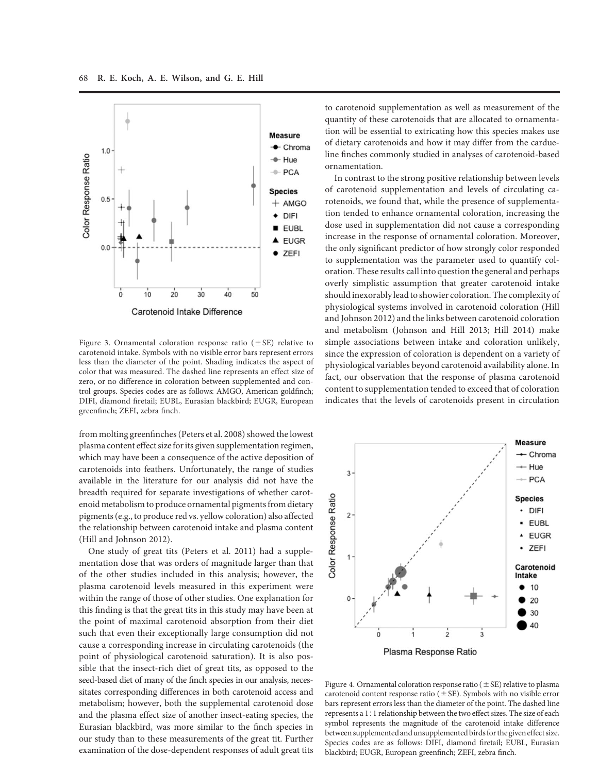

Figure 3. Ornamental coloration response ratio ( $\pm$  SE) relative to carotenoid intake. Symbols with no visible error bars represent errors less than the diameter of the point. Shading indicates the aspect of color that was measured. The dashed line represents an effect size of zero, or no difference in coloration between supplemented and control groups. Species codes are as follows: AMGO, American goldfinch; DIFI, diamond firetail; EUBL, Eurasian blackbird; EUGR, European greenfinch; ZEFI, zebra finch.

from molting greenfinches (Peters et al. 2008) showed the lowest plasma content effect size for its given supplementation regimen, which may have been a consequence of the active deposition of carotenoids into feathers. Unfortunately, the range of studies available in the literature for our analysis did not have the breadth required for separate investigations of whether carotenoid metabolism to produce ornamental pigments from dietary pigments (e.g., to produce red vs. yellow coloration) also affected the relationship between carotenoid intake and plasma content (Hill and Johnson 2012).

One study of great tits (Peters et al. 2011) had a supplementation dose that was orders of magnitude larger than that of the other studies included in this analysis; however, the plasma carotenoid levels measured in this experiment were within the range of those of other studies. One explanation for this finding is that the great tits in this study may have been at the point of maximal carotenoid absorption from their diet such that even their exceptionally large consumption did not cause a corresponding increase in circulating carotenoids (the point of physiological carotenoid saturation). It is also possible that the insect-rich diet of great tits, as opposed to the seed-based diet of many of the finch species in our analysis, necessitates corresponding differences in both carotenoid access and metabolism; however, both the supplemental carotenoid dose and the plasma effect size of another insect-eating species, the Eurasian blackbird, was more similar to the finch species in our study than to these measurements of the great tit. Further examination of the dose-dependent responses of adult great tits

to carotenoid supplementation as well as measurement of the quantity of these carotenoids that are allocated to ornamentation will be essential to extricating how this species makes use of dietary carotenoids and how it may differ from the cardueline finches commonly studied in analyses of carotenoid-based ornamentation.

In contrast to the strong positive relationship between levels of carotenoid supplementation and levels of circulating carotenoids, we found that, while the presence of supplementation tended to enhance ornamental coloration, increasing the dose used in supplementation did not cause a corresponding increase in the response of ornamental coloration. Moreover, the only significant predictor of how strongly color responded to supplementation was the parameter used to quantify coloration. These results call into question the general and perhaps overly simplistic assumption that greater carotenoid intake should inexorably lead to showier coloration. The complexity of physiological systems involved in carotenoid coloration (Hill and Johnson 2012) and the links between carotenoid coloration and metabolism (Johnson and Hill 2013; Hill 2014) make simple associations between intake and coloration unlikely, since the expression of coloration is dependent on a variety of physiological variables beyond carotenoid availability alone. In fact, our observation that the response of plasma carotenoid content to supplementation tended to exceed that of coloration indicates that the levels of carotenoids present in circulation



Figure 4. Ornamental coloration response ratio ( $\pm$  SE) relative to plasma carotenoid content response ratio ( $\pm$  SE). Symbols with no visible error bars represent errors less than the diameter of the point. The dashed line represents a 1∶1 relationship between the two effect sizes. The size of each symbol represents the magnitude of the carotenoid intake difference between supplemented and unsupplemented birds for the given effect size. Species codes are as follows: DIFI, diamond firetail; EUBL, Eurasian blackbird; EUGR, European greenfinch; ZEFI, zebra finch.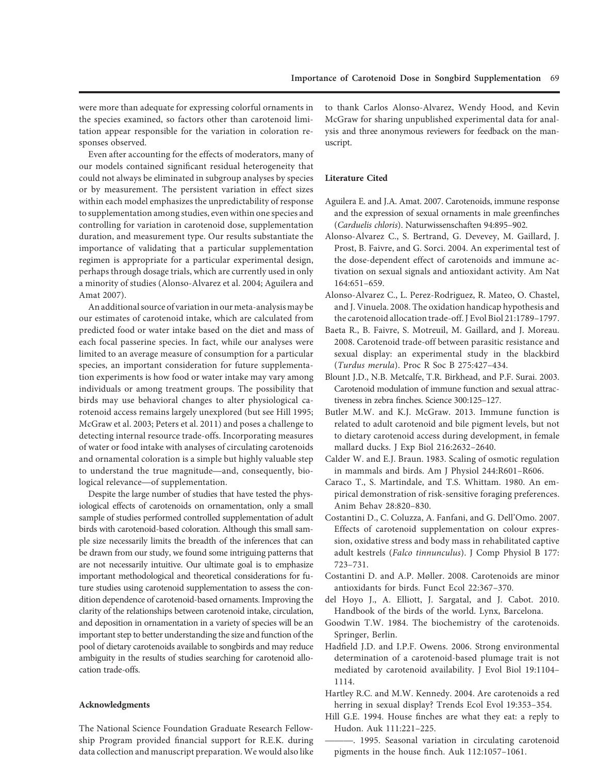were more than adequate for expressing colorful ornaments in the species examined, so factors other than carotenoid limitation appear responsible for the variation in coloration responses observed.

Even after accounting for the effects of moderators, many of our models contained significant residual heterogeneity that could not always be eliminated in subgroup analyses by species or by measurement. The persistent variation in effect sizes within each model emphasizes the unpredictability of response to supplementation among studies, even within one species and controlling for variation in carotenoid dose, supplementation duration, and measurement type. Our results substantiate the importance of validating that a particular supplementation regimen is appropriate for a particular experimental design, perhaps through dosage trials, which are currently used in only a minority of studies (Alonso-Alvarez et al. 2004; Aguilera and Amat 2007).

An additional source of variation in ourmeta-analysismay be our estimates of carotenoid intake, which are calculated from predicted food or water intake based on the diet and mass of each focal passerine species. In fact, while our analyses were limited to an average measure of consumption for a particular species, an important consideration for future supplementation experiments is how food or water intake may vary among individuals or among treatment groups. The possibility that birds may use behavioral changes to alter physiological carotenoid access remains largely unexplored (but see Hill 1995; McGraw et al. 2003; Peters et al. 2011) and poses a challenge to detecting internal resource trade-offs. Incorporating measures of water or food intake with analyses of circulating carotenoids and ornamental coloration is a simple but highly valuable step to understand the true magnitude—and, consequently, biological relevance—of supplementation.

Despite the large number of studies that have tested the physiological effects of carotenoids on ornamentation, only a small sample of studies performed controlled supplementation of adult birds with carotenoid-based coloration. Although this small sample size necessarily limits the breadth of the inferences that can be drawn from our study, we found some intriguing patterns that are not necessarily intuitive. Our ultimate goal is to emphasize important methodological and theoretical considerations for future studies using carotenoid supplementation to assess the condition dependence of carotenoid-based ornaments. Improving the clarity of the relationships between carotenoid intake, circulation, and deposition in ornamentation in a variety of species will be an important step to better understanding the size and function of the pool of dietary carotenoids available to songbirds and may reduce ambiguity in the results of studies searching for carotenoid allocation trade-offs.

### Acknowledgments

The National Science Foundation Graduate Research Fellowship Program provided financial support for R.E.K. during data collection and manuscript preparation. We would also like to thank Carlos Alonso-Alvarez, Wendy Hood, and Kevin McGraw for sharing unpublished experimental data for analysis and three anonymous reviewers for feedback on the manuscript.

### Literature Cited

- Aguilera E. and J.A. Amat. 2007. Carotenoids, immune response and the expression of sexual ornaments in male greenfinches (Carduelis chloris). Naturwissenschaften 94:895–902.
- Alonso-Alvarez C., S. Bertrand, G. Devevey, M. Gaillard, J. Prost, B. Faivre, and G. Sorci. 2004. An experimental test of the dose-dependent effect of carotenoids and immune activation on sexual signals and antioxidant activity. Am Nat 164:651–659.
- Alonso-Alvarez C., L. Perez-Rodriguez, R. Mateo, O. Chastel, and J. Vinuela. 2008. The oxidation handicap hypothesis and the carotenoid allocation trade-off. J Evol Biol 21:1789–1797.
- Baeta R., B. Faivre, S. Motreuil, M. Gaillard, and J. Moreau. 2008. Carotenoid trade-off between parasitic resistance and sexual display: an experimental study in the blackbird (Turdus merula). Proc R Soc B 275:427–434.
- Blount J.D., N.B. Metcalfe, T.R. Birkhead, and P.F. Surai. 2003. Carotenoid modulation of immune function and sexual attractiveness in zebra finches. Science 300:125–127.
- Butler M.W. and K.J. McGraw. 2013. Immune function is related to adult carotenoid and bile pigment levels, but not to dietary carotenoid access during development, in female mallard ducks. J Exp Biol 216:2632–2640.
- Calder W. and E.J. Braun. 1983. Scaling of osmotic regulation in mammals and birds. Am J Physiol 244:R601–R606.
- Caraco T., S. Martindale, and T.S. Whittam. 1980. An empirical demonstration of risk-sensitive foraging preferences. Anim Behav 28:820–830.
- Costantini D., C. Coluzza, A. Fanfani, and G. Dell'Omo. 2007. Effects of carotenoid supplementation on colour expression, oxidative stress and body mass in rehabilitated captive adult kestrels (Falco tinnunculus). J Comp Physiol B 177: 723–731.
- Costantini D. and A.P. Møller. 2008. Carotenoids are minor antioxidants for birds. Funct Ecol 22:367–370.
- del Hoyo J., A. Elliott, J. Sargatal, and J. Cabot. 2010. Handbook of the birds of the world. Lynx, Barcelona.
- Goodwin T.W. 1984. The biochemistry of the carotenoids. Springer, Berlin.
- Hadfield J.D. and I.P.F. Owens. 2006. Strong environmental determination of a carotenoid-based plumage trait is not mediated by carotenoid availability. J Evol Biol 19:1104– 1114.
- Hartley R.C. and M.W. Kennedy. 2004. Are carotenoids a red herring in sexual display? Trends Ecol Evol 19:353–354.
- Hill G.E. 1994. House finches are what they eat: a reply to Hudon. Auk 111:221–225.
- -. 1995. Seasonal variation in circulating carotenoid pigments in the house finch. Auk 112:1057–1061.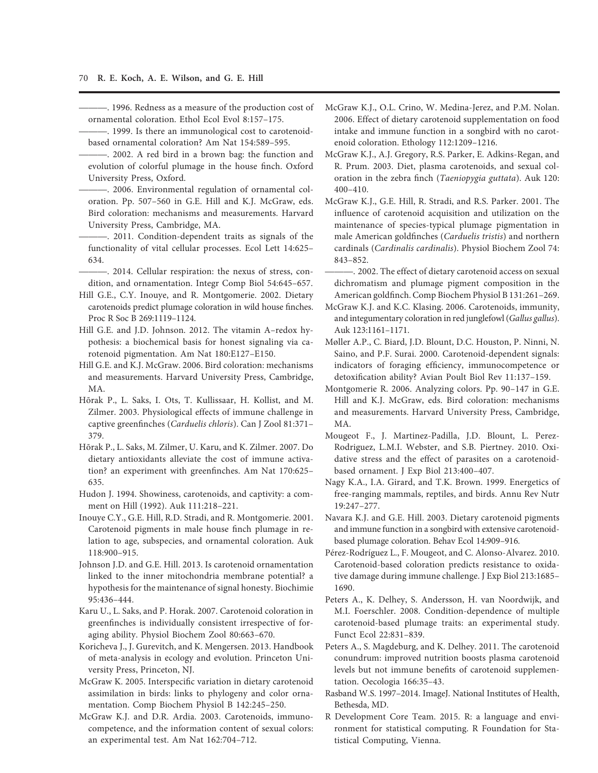———. 1996. Redness as a measure of the production cost of ornamental coloration. Ethol Ecol Evol 8:157–175.

———. 1999. Is there an immunological cost to carotenoidbased ornamental coloration? Am Nat 154:589–595.

———. 2002. A red bird in a brown bag: the function and evolution of colorful plumage in the house finch. Oxford University Press, Oxford.

———. 2006. Environmental regulation of ornamental coloration. Pp. 507–560 in G.E. Hill and K.J. McGraw, eds. Bird coloration: mechanisms and measurements. Harvard University Press, Cambridge, MA.

———. 2011. Condition-dependent traits as signals of the functionality of vital cellular processes. Ecol Lett 14:625– 634.

———. 2014. Cellular respiration: the nexus of stress, condition, and ornamentation. Integr Comp Biol 54:645–657.

- Hill G.E., C.Y. Inouye, and R. Montgomerie. 2002. Dietary carotenoids predict plumage coloration in wild house finches. Proc R Soc B 269:1119–1124.
- Hill G.E. and J.D. Johnson. 2012. The vitamin A–redox hypothesis: a biochemical basis for honest signaling via carotenoid pigmentation. Am Nat 180:E127–E150.

Hill G.E. and K.J. McGraw. 2006. Bird coloration: mechanisms and measurements. Harvard University Press, Cambridge, MA.

- Hõrak P., L. Saks, I. Ots, T. Kullissaar, H. Kollist, and M. Zilmer. 2003. Physiological effects of immune challenge in captive greenfinches (Carduelis chloris). Can J Zool 81:371– 379.
- Hõrak P., L. Saks, M. Zilmer, U. Karu, and K. Zilmer. 2007. Do dietary antioxidants alleviate the cost of immune activation? an experiment with greenfinches. Am Nat 170:625– 635.
- Hudon J. 1994. Showiness, carotenoids, and captivity: a comment on Hill (1992). Auk 111:218–221.
- Inouye C.Y., G.E. Hill, R.D. Stradi, and R. Montgomerie. 2001. Carotenoid pigments in male house finch plumage in relation to age, subspecies, and ornamental coloration. Auk 118:900–915.
- Johnson J.D. and G.E. Hill. 2013. Is carotenoid ornamentation linked to the inner mitochondria membrane potential? a hypothesis for the maintenance of signal honesty. Biochimie 95:436–444.

Karu U., L. Saks, and P. Horak. 2007. Carotenoid coloration in greenfinches is individually consistent irrespective of foraging ability. Physiol Biochem Zool 80:663–670.

Koricheva J., J. Gurevitch, and K. Mengersen. 2013. Handbook of meta-analysis in ecology and evolution. Princeton University Press, Princeton, NJ.

McGraw K. 2005. Interspecific variation in dietary carotenoid assimilation in birds: links to phylogeny and color ornamentation. Comp Biochem Physiol B 142:245–250.

McGraw K.J. and D.R. Ardia. 2003. Carotenoids, immunocompetence, and the information content of sexual colors: an experimental test. Am Nat 162:704–712.

- McGraw K.J., O.L. Crino, W. Medina-Jerez, and P.M. Nolan. 2006. Effect of dietary carotenoid supplementation on food intake and immune function in a songbird with no carotenoid coloration. Ethology 112:1209–1216.
- McGraw K.J., A.J. Gregory, R.S. Parker, E. Adkins-Regan, and R. Prum. 2003. Diet, plasma carotenoids, and sexual coloration in the zebra finch (Taeniopygia guttata). Auk 120: 400–410.
- McGraw K.J., G.E. Hill, R. Stradi, and R.S. Parker. 2001. The influence of carotenoid acquisition and utilization on the maintenance of species-typical plumage pigmentation in male American goldfinches (Carduelis tristis) and northern cardinals (Cardinalis cardinalis). Physiol Biochem Zool 74: 843–852.

———. 2002. The effect of dietary carotenoid access on sexual dichromatism and plumage pigment composition in the American goldfinch. Comp Biochem Physiol B 131:261–269.

- McGraw K.J. and K.C. Klasing. 2006. Carotenoids, immunity, and integumentary coloration in red junglefowl (Gallus gallus). Auk 123:1161–1171.
- Møller A.P., C. Biard, J.D. Blount, D.C. Houston, P. Ninni, N. Saino, and P.F. Surai. 2000. Carotenoid-dependent signals: indicators of foraging efficiency, immunocompetence or detoxification ability? Avian Poult Biol Rev 11:137–159.
- Montgomerie R. 2006. Analyzing colors. Pp. 90–147 in G.E. Hill and K.J. McGraw, eds. Bird coloration: mechanisms and measurements. Harvard University Press, Cambridge, MA.
- Mougeot F., J. Martinez-Padilla, J.D. Blount, L. Perez-Rodriguez, L.M.I. Webster, and S.B. Piertney. 2010. Oxidative stress and the effect of parasites on a carotenoidbased ornament. J Exp Biol 213:400–407.
- Nagy K.A., I.A. Girard, and T.K. Brown. 1999. Energetics of free-ranging mammals, reptiles, and birds. Annu Rev Nutr 19:247–277.
- Navara K.J. and G.E. Hill. 2003. Dietary carotenoid pigments and immune function in a songbird with extensive carotenoidbased plumage coloration. Behav Ecol 14:909–916.
- Pérez-Rodríguez L., F. Mougeot, and C. Alonso-Alvarez. 2010. Carotenoid-based coloration predicts resistance to oxidative damage during immune challenge. J Exp Biol 213:1685– 1690.
- Peters A., K. Delhey, S. Andersson, H. van Noordwijk, and M.I. Foerschler. 2008. Condition-dependence of multiple carotenoid-based plumage traits: an experimental study. Funct Ecol 22:831–839.
- Peters A., S. Magdeburg, and K. Delhey. 2011. The carotenoid conundrum: improved nutrition boosts plasma carotenoid levels but not immune benefits of carotenoid supplementation. Oecologia 166:35–43.
- Rasband W.S. 1997–2014. ImageJ. National Institutes of Health, Bethesda, MD.
- R Development Core Team. 2015. R: a language and environment for statistical computing. R Foundation for Statistical Computing, Vienna.